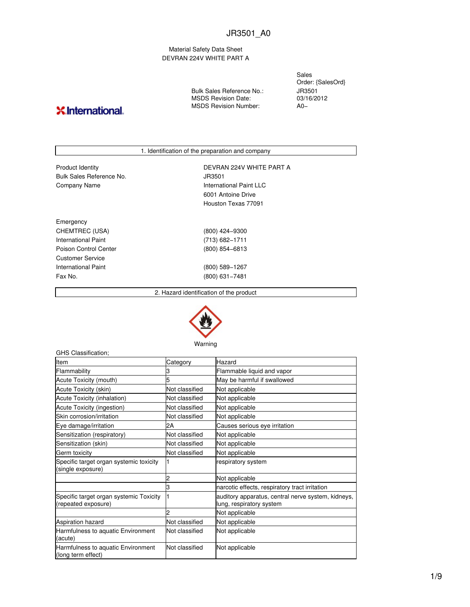Material Safety Data Sheet DEVRAN 224V WHITE PART A

Bulk Sales Reference No.: MSDS Revision Date: MSDS Revision Number:

Sales Order: {SalesOrd} JR3501 03/16/2012 A0−

# **X**.International.

|                          | 1. Identification of the preparation and company |  |  |
|--------------------------|--------------------------------------------------|--|--|
| <b>Product Identity</b>  | DEVRAN 224V WHITE PART A                         |  |  |
| Bulk Sales Reference No. | JR3501                                           |  |  |
| Company Name             | International Paint LLC                          |  |  |
|                          | 6001 Antoine Drive                               |  |  |
|                          | Houston Texas 77091                              |  |  |
|                          |                                                  |  |  |
| Emergency                |                                                  |  |  |
| CHEMTREC (USA)           | $(800)$ 424-9300                                 |  |  |
| International Paint      | (713) 682-1711                                   |  |  |
| Poison Control Center    | $(800)$ 854-6813                                 |  |  |
| Customer Service         |                                                  |  |  |
| International Paint      | $(800)$ 589-1267                                 |  |  |
| Fax No.                  | $(800)$ 631-7481                                 |  |  |

2. Hazard identification of the product



Warning

| GHS Classification;                                            |                |                                                                                |
|----------------------------------------------------------------|----------------|--------------------------------------------------------------------------------|
| Item                                                           | Category       | Hazard                                                                         |
| Flammability                                                   |                | Flammable liquid and vapor                                                     |
| Acute Toxicity (mouth)                                         |                | May be harmful if swallowed                                                    |
| Acute Toxicity (skin)                                          | Not classified | Not applicable                                                                 |
| <b>Acute Toxicity (inhalation)</b>                             | Not classified | Not applicable                                                                 |
| Acute Toxicity (ingestion)                                     | Not classified | Not applicable                                                                 |
| Skin corrosion/irritation                                      | Not classified | Not applicable                                                                 |
| Eye damage/irritation                                          | 2A             | Causes serious eye irritation                                                  |
| Sensitization (respiratory)                                    | Not classified | Not applicable                                                                 |
| Sensitization (skin)                                           | Not classified | Not applicable                                                                 |
| Germ toxicity                                                  | Not classified | Not applicable                                                                 |
| Specific target organ systemic toxicity<br>(single exposure)   |                | respiratory system                                                             |
|                                                                | 2              | Not applicable                                                                 |
|                                                                | 3              | narcotic effects, respiratory tract irritation                                 |
| Specific target organ systemic Toxicity<br>(repeated exposure) |                | auditory apparatus, central nerve system, kidneys,<br>lung, respiratory system |
|                                                                |                | Not applicable                                                                 |
| <b>Aspiration hazard</b>                                       | Not classified | Not applicable                                                                 |
| Harmfulness to aquatic Environment<br>(acute)                  | Not classified | Not applicable                                                                 |
| Harmfulness to aquatic Environment<br>(long term effect)       | Not classified | Not applicable                                                                 |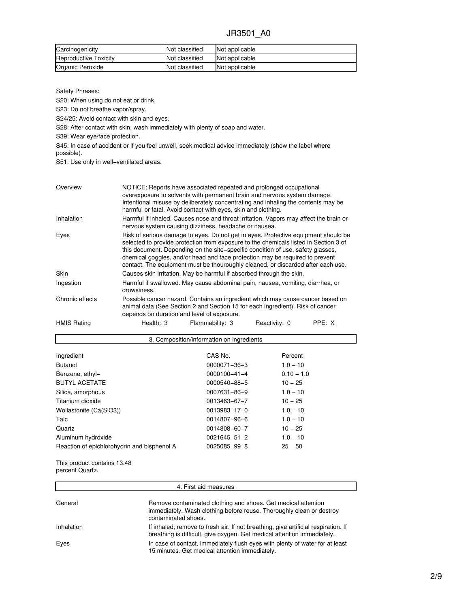| Carcinogenicity              | Not classified | Not applicable |
|------------------------------|----------------|----------------|
| <b>Reproductive Toxicity</b> | Not classified | Not applicable |
| Organic Peroxide             | Not classified | Not applicable |

#### Safety Phrases:

S20: When using do not eat or drink.

S23: Do not breathe vapor/spray.

S24/25: Avoid contact with skin and eyes.

S28: After contact with skin, wash immediately with plenty of soap and water.

S39: Wear eye/face protection.

S45: In case of accident or if you feel unwell, seek medical advice immediately (show the label where possible).

S51: Use only in well−ventilated areas.

| Overview           | NOTICE: Reports have associated repeated and prolonged occupational<br>overexposure to solvents with permanent brain and nervous system damage.<br>Intentional misuse by deliberately concentrating and inhaling the contents may be<br>harmful or fatal. Avoid contact with eyes, skin and clothing.                                                                                                                             |                 |               |        |  |
|--------------------|-----------------------------------------------------------------------------------------------------------------------------------------------------------------------------------------------------------------------------------------------------------------------------------------------------------------------------------------------------------------------------------------------------------------------------------|-----------------|---------------|--------|--|
| Inhalation         | Harmful if inhaled. Causes nose and throat irritation. Vapors may affect the brain or<br>nervous system causing dizziness, headache or nausea.                                                                                                                                                                                                                                                                                    |                 |               |        |  |
| Eyes               | Risk of serious damage to eyes. Do not get in eyes. Protective equipment should be<br>selected to provide protection from exposure to the chemicals listed in Section 3 of<br>this document. Depending on the site–specific condition of use, safety glasses,<br>chemical goggles, and/or head and face protection may be required to prevent<br>contact. The equipment must be thouroughly cleaned, or discarded after each use. |                 |               |        |  |
| <b>Skin</b>        | Causes skin irritation. May be harmful if absorbed through the skin.                                                                                                                                                                                                                                                                                                                                                              |                 |               |        |  |
| Ingestion          | Harmful if swallowed. May cause abdominal pain, nausea, vomiting, diarrhea, or<br>drowsiness.                                                                                                                                                                                                                                                                                                                                     |                 |               |        |  |
| Chronic effects    | Possible cancer hazard. Contains an ingredient which may cause cancer based on<br>animal data (See Section 2 and Section 15 for each ingredient). Risk of cancer<br>depends on duration and level of exposure.                                                                                                                                                                                                                    |                 |               |        |  |
| <b>HMIS Rating</b> | Health: 3                                                                                                                                                                                                                                                                                                                                                                                                                         | Flammability: 3 | Reactivity: 0 | PPE: X |  |

| 3. Composition/information on ingredients   |                    |              |  |
|---------------------------------------------|--------------------|--------------|--|
| Ingredient                                  | CAS No.            | Percent      |  |
| Butanol                                     | 0000071-36-3       | $1.0 - 10$   |  |
| Benzene, ethyl-                             | $0000100 - 41 - 4$ | $0.10 - 1.0$ |  |
| <b>BUTYL ACETATE</b>                        | 0000540-88-5       | $10 - 25$    |  |
| Silica, amorphous                           | 0007631-86-9       | $1.0 - 10$   |  |
| Titanium dioxide                            | 0013463-67-7       | $10 - 25$    |  |
| Wollastonite (Ca(SiO3))                     | 0013983-17-0       | $1.0 - 10$   |  |
| Talc                                        | 0014807-96-6       | $1.0 - 10$   |  |
| Quartz                                      | 0014808-60-7       | $10 - 25$    |  |
| Aluminum hydroxide                          | $0021645 - 51 - 2$ | $1.0 - 10$   |  |
| Reaction of epichlorohydrin and bisphenol A | 0025085-99-8       | $25 - 50$    |  |

This product contains 13.48 percent Quartz.

 $\Gamma$ 

| 4. First aid measures                                                                                                                                                   |                                                                                                                                                               |  |  |
|-------------------------------------------------------------------------------------------------------------------------------------------------------------------------|---------------------------------------------------------------------------------------------------------------------------------------------------------------|--|--|
| Remove contaminated clothing and shoes. Get medical attention<br>General<br>immediately. Wash clothing before reuse. Thoroughly clean or destroy<br>contaminated shoes. |                                                                                                                                                               |  |  |
| Inhalation                                                                                                                                                              | If inhaled, remove to fresh air. If not breathing, give artificial respiration. If<br>breathing is difficult, give oxygen. Get medical attention immediately. |  |  |
| Eyes                                                                                                                                                                    | In case of contact, immediately flush eyes with plenty of water for at least<br>15 minutes. Get medical attention immediately.                                |  |  |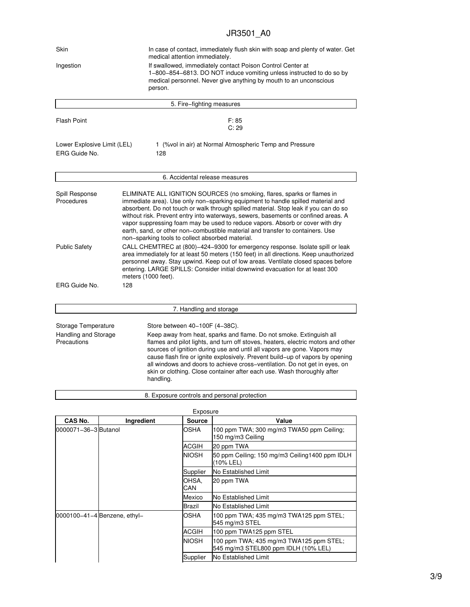| Skin                                                                                                                                                                                                                                                                                                                                                                                                                                                                                                                                                                                       | In case of contact, immediately flush skin with soap and plenty of water. Get<br>medical attention immediately.                                                                                                                                                                                                                                                                                                                                                                                                                                                 |  |  |
|--------------------------------------------------------------------------------------------------------------------------------------------------------------------------------------------------------------------------------------------------------------------------------------------------------------------------------------------------------------------------------------------------------------------------------------------------------------------------------------------------------------------------------------------------------------------------------------------|-----------------------------------------------------------------------------------------------------------------------------------------------------------------------------------------------------------------------------------------------------------------------------------------------------------------------------------------------------------------------------------------------------------------------------------------------------------------------------------------------------------------------------------------------------------------|--|--|
| Ingestion                                                                                                                                                                                                                                                                                                                                                                                                                                                                                                                                                                                  | If swallowed, immediately contact Poison Control Center at<br>1-800-854-6813. DO NOT induce vomiting unless instructed to do so by<br>medical personnel. Never give anything by mouth to an unconscious<br>person.                                                                                                                                                                                                                                                                                                                                              |  |  |
|                                                                                                                                                                                                                                                                                                                                                                                                                                                                                                                                                                                            | 5. Fire-fighting measures                                                                                                                                                                                                                                                                                                                                                                                                                                                                                                                                       |  |  |
| Flash Point                                                                                                                                                                                                                                                                                                                                                                                                                                                                                                                                                                                | F: 85<br>C:29                                                                                                                                                                                                                                                                                                                                                                                                                                                                                                                                                   |  |  |
| Lower Explosive Limit (LEL)<br>ERG Guide No.                                                                                                                                                                                                                                                                                                                                                                                                                                                                                                                                               | 1 (% vol in air) at Normal Atmospheric Temp and Pressure<br>128                                                                                                                                                                                                                                                                                                                                                                                                                                                                                                 |  |  |
|                                                                                                                                                                                                                                                                                                                                                                                                                                                                                                                                                                                            | 6. Accidental release measures                                                                                                                                                                                                                                                                                                                                                                                                                                                                                                                                  |  |  |
| Spill Response<br>Procedures                                                                                                                                                                                                                                                                                                                                                                                                                                                                                                                                                               | ELIMINATE ALL IGNITION SOURCES (no smoking, flares, sparks or flames in<br>immediate area). Use only non-sparking equipment to handle spilled material and<br>absorbent. Do not touch or walk through spilled material. Stop leak if you can do so<br>without risk. Prevent entry into waterways, sewers, basements or confined areas. A<br>vapor suppressing foam may be used to reduce vapors. Absorb or cover with dry<br>earth, sand, or other non–combustible material and transfer to containers. Use<br>non-sparking tools to collect absorbed material. |  |  |
| <b>Public Safety</b>                                                                                                                                                                                                                                                                                                                                                                                                                                                                                                                                                                       | CALL CHEMTREC at (800)-424-9300 for emergency response. Isolate spill or leak<br>area immediately for at least 50 meters (150 feet) in all directions. Keep unauthorized<br>personnel away. Stay upwind. Keep out of low areas. Ventilate closed spaces before<br>entering. LARGE SPILLS: Consider initial downwind evacuation for at least 300<br>meters (1000 feet).                                                                                                                                                                                          |  |  |
| ERG Guide No.                                                                                                                                                                                                                                                                                                                                                                                                                                                                                                                                                                              | 128                                                                                                                                                                                                                                                                                                                                                                                                                                                                                                                                                             |  |  |
|                                                                                                                                                                                                                                                                                                                                                                                                                                                                                                                                                                                            |                                                                                                                                                                                                                                                                                                                                                                                                                                                                                                                                                                 |  |  |
|                                                                                                                                                                                                                                                                                                                                                                                                                                                                                                                                                                                            | 7. Handling and storage                                                                                                                                                                                                                                                                                                                                                                                                                                                                                                                                         |  |  |
| Storage Temperature<br>Store between 40-100F (4-38C).<br>Handling and Storage<br>Keep away from heat, sparks and flame. Do not smoke. Extinguish all<br>Precautions<br>flames and pilot lights, and turn off stoves, heaters, electric motors and other<br>sources of ignition during use and until all vapors are gone. Vapors may<br>cause flash fire or ignite explosively. Prevent build-up of vapors by opening<br>all windows and doors to achieve cross-ventilation. Do not get in eyes, on<br>skin or clothing. Close container after each use. Wash thoroughly after<br>handling. |                                                                                                                                                                                                                                                                                                                                                                                                                                                                                                                                                                 |  |  |
|                                                                                                                                                                                                                                                                                                                                                                                                                                                                                                                                                                                            | 8. Exposure controls and personal protection                                                                                                                                                                                                                                                                                                                                                                                                                                                                                                                    |  |  |
|                                                                                                                                                                                                                                                                                                                                                                                                                                                                                                                                                                                            | Exposure                                                                                                                                                                                                                                                                                                                                                                                                                                                                                                                                                        |  |  |

| CAS No.               | Ingredient                           | <b>Source</b> | Value                                                                           |
|-----------------------|--------------------------------------|---------------|---------------------------------------------------------------------------------|
| 10000071-36-31Butanol |                                      | OSHA          | 100 ppm TWA; 300 mg/m3 TWA50 ppm Ceiling;<br>150 mg/m3 Ceiling                  |
|                       |                                      | <b>ACGIH</b>  | 20 ppm TWA                                                                      |
|                       |                                      | <b>NIOSH</b>  | 50 ppm Ceiling; 150 mg/m3 Ceiling 1400 ppm IDLH<br>(10% LEL)                    |
|                       |                                      | Supplier      | No Established Limit                                                            |
|                       |                                      | OHSA,<br>CAN  | 20 ppm TWA                                                                      |
|                       |                                      | Mexico        | <b>No Established Limit</b>                                                     |
|                       |                                      | Brazil        | <b>No Established Limit</b>                                                     |
|                       | $ 0000100 - 41 - 4 $ Benzene, ethyl- | OSHA          | 100 ppm TWA; 435 mg/m3 TWA125 ppm STEL;<br>545 mg/m3 STEL                       |
|                       |                                      | <b>ACGIH</b>  | 100 ppm TWA125 ppm STEL                                                         |
|                       |                                      | <b>NIOSH</b>  | 100 ppm TWA; 435 mg/m3 TWA125 ppm STEL;<br>545 mg/m3 STEL800 ppm IDLH (10% LEL) |
|                       |                                      | Supplier      | <b>No Established Limit</b>                                                     |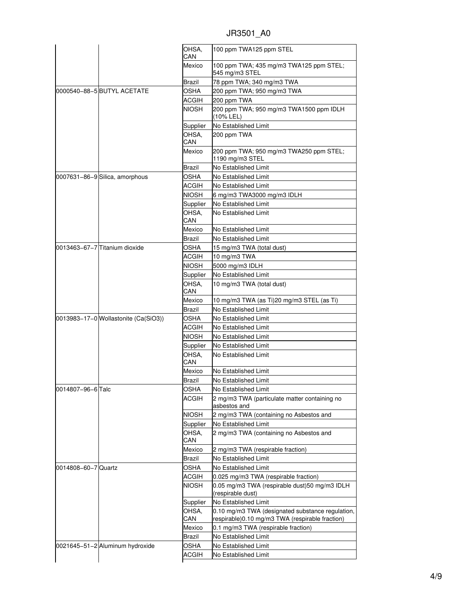|                     |                                      | OHSA.<br>CAN | 100 ppm TWA125 ppm STEL                                                                              |
|---------------------|--------------------------------------|--------------|------------------------------------------------------------------------------------------------------|
|                     |                                      | Mexico       | 100 ppm TWA; 435 mg/m3 TWA125 ppm STEL;<br>545 mg/m3 STEL                                            |
|                     |                                      | Brazil       | 78 ppm TWA; 340 mg/m3 TWA                                                                            |
|                     | 0000540-88-5 BUTYL ACETATE           | OSHA         | 200 ppm TWA; 950 mg/m3 TWA                                                                           |
|                     |                                      | ACGIH        | 200 ppm TWA                                                                                          |
|                     |                                      | NIOSH        | 200 ppm TWA; 950 mg/m3 TWA1500 ppm IDLH<br>(10% LEL)                                                 |
|                     |                                      | Supplier     | No Established Limit                                                                                 |
|                     |                                      | OHSA.<br>CAN | 200 ppm TWA                                                                                          |
|                     |                                      | Mexico       | 200 ppm TWA; 950 mg/m3 TWA250 ppm STEL;<br>1190 mg/m3 STEL                                           |
|                     |                                      | Brazil       | No Established Limit                                                                                 |
|                     | 0007631-86-9 Silica, amorphous       | OSHA         | No Established Limit                                                                                 |
|                     |                                      | <b>ACGIH</b> | No Established Limit                                                                                 |
|                     |                                      | <b>NIOSH</b> | 6 mg/m3 TWA3000 mg/m3 IDLH                                                                           |
|                     |                                      | Supplier     | No Established Limit                                                                                 |
|                     |                                      | OHSA.<br>CAN | No Established Limit                                                                                 |
|                     |                                      | Mexico       | No Established Limit                                                                                 |
|                     |                                      | Brazil       | No Established Limit                                                                                 |
|                     | 0013463-67-7 Titanium dioxide        | OSHA         | 15 mg/m3 TWA (total dust)                                                                            |
|                     |                                      | ACGIH        | 10 mg/m3 TWA                                                                                         |
|                     |                                      | NIOSH        | 5000 mg/m3 IDLH                                                                                      |
|                     |                                      | Supplier     | No Established Limit                                                                                 |
|                     |                                      | OHSA.<br>CAN | 10 mg/m3 TWA (total dust)                                                                            |
|                     |                                      | Mexico       | 10 mg/m3 TWA (as Ti)20 mg/m3 STEL (as Ti)                                                            |
|                     |                                      | Brazil       | No Established Limit                                                                                 |
|                     | 0013983-17-0 Wollastonite (Ca(SiO3)) | OSHA         | No Established Limit                                                                                 |
|                     |                                      | ACGIH        | No Established Limit                                                                                 |
|                     |                                      | <b>NIOSH</b> | <b>No Established Limit</b>                                                                          |
|                     |                                      | Supplier     | <b>No Established Limit</b>                                                                          |
|                     |                                      | OHSA.<br>CAN | No Established Limit                                                                                 |
|                     |                                      | Mexico       | <b>No Established Limit</b>                                                                          |
|                     |                                      | Brazil       | No Established Limit                                                                                 |
| 0014807-96-6 Talc   |                                      | OSHA         | No Established Limit                                                                                 |
|                     |                                      | <b>ACGIH</b> | 2 mg/m3 TWA (particulate matter containing no<br>asbestos and                                        |
|                     |                                      | NIOSH        | 2 mg/m3 TWA (containing no Asbestos and                                                              |
|                     |                                      | Supplier     | No Established Limit                                                                                 |
|                     |                                      | OHSA.<br>CAN | 2 mg/m3 TWA (containing no Asbestos and                                                              |
|                     |                                      | Mexico       | 2 mg/m3 TWA (respirable fraction)                                                                    |
|                     |                                      | Brazil       | No Established Limit                                                                                 |
| 0014808-60-7 Quartz |                                      | OSHA         | No Established Limit                                                                                 |
|                     |                                      | ACGIH        | 0.025 mg/m3 TWA (respirable fraction)                                                                |
|                     |                                      | NIOSH        | 0.05 mg/m3 TWA (respirable dust) 50 mg/m3 IDLH<br>(respirable dust)                                  |
|                     |                                      | Supplier     | No Established Limit                                                                                 |
|                     |                                      | OHSA.<br>CAN | 0.10 mg/m3 TWA (designated substance regulation,<br>respirable) 0.10 mg/m3 TWA (respirable fraction) |
|                     |                                      | Mexico       | 0.1 mg/m3 TWA (respirable fraction)                                                                  |
|                     |                                      | Brazil       | No Established Limit                                                                                 |
|                     |                                      |              |                                                                                                      |
|                     | 0021645-51-2 Aluminum hydroxide      | OSHA         | No Established Limit                                                                                 |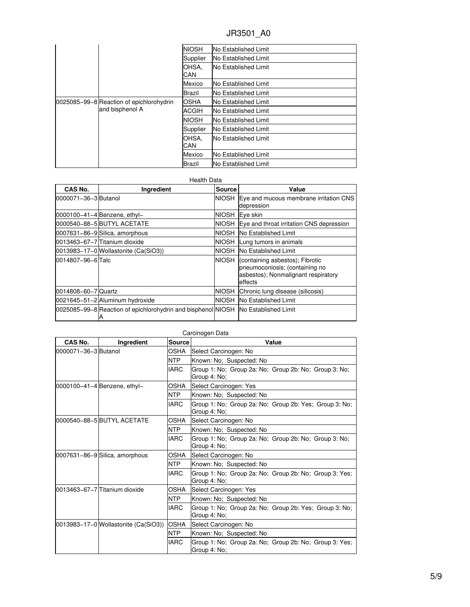|                                          | <b>NIOSH</b> | No Established Limit |
|------------------------------------------|--------------|----------------------|
|                                          | Supplier     | No Established Limit |
|                                          | OHSA.<br>CAN | No Established Limit |
|                                          | Mexico       | No Established Limit |
|                                          | Brazil       | No Established Limit |
| 0025085-99-8 Reaction of epichlorohydrin | <b>OSHA</b>  | No Established Limit |
| and bisphenol A                          | ACGIH        | No Established Limit |
|                                          | <b>NIOSH</b> | No Established Limit |
|                                          | Supplier     | No Established Limit |
|                                          | OHSA.<br>CAN | No Established Limit |
|                                          | Mexico       | No Established Limit |
|                                          | Brazil       | No Established Limit |

### Health Data

| CAS No.              | Ingredient                                                                        | Source       | Value                                                                                                               |
|----------------------|-----------------------------------------------------------------------------------|--------------|---------------------------------------------------------------------------------------------------------------------|
| 0000071-36-3 Butanol |                                                                                   | <b>NIOSH</b> | Eye and mucous membrane irritation CNS<br>depression                                                                |
|                      | $ 0000100 - 41 - 4 $ Benzene, ethyl-                                              | NIOSH        | Eye skin                                                                                                            |
|                      | 0000540-88-5 BUTYL ACETATE                                                        | <b>NIOSH</b> | Eye and throat irritation CNS depression                                                                            |
|                      | 0007631-86-9 Silica, amorphous                                                    | NIOSH        | No Established Limit                                                                                                |
|                      | l0013463-67-7 Titanium dioxide                                                    | INIOSH.      | Lung tumors in animals                                                                                              |
|                      | $[0013983 - 17 - 0]$ Wollastonite (Ca(SiO3))                                      | <b>NIOSH</b> | <b>No Established Limit</b>                                                                                         |
| 0014807-96-6 Talc    |                                                                                   | <b>NIOSH</b> | (containing asbestos); Fibrotic<br>pneumoconiosis; (containing no<br>asbestos); Nonmalignant respiratory<br>effects |
| 0014808-60-7 Quartz  |                                                                                   | <b>NIOSH</b> | Chronic lung disease (silicosis)                                                                                    |
|                      | 0021645-51-2 Aluminum hydroxide                                                   | NIOSH        | No Established Limit                                                                                                |
|                      | 0025085-99-8 Reaction of epichlorohydrin and bisphenol NIOSH No Established Limit |              |                                                                                                                     |

| CAS No.                        | <b>Ingredient</b>                            | <b>Source</b> | Value                                                                  |  |  |
|--------------------------------|----------------------------------------------|---------------|------------------------------------------------------------------------|--|--|
| 0000071-36-3 Butanol           |                                              | <b>OSHA</b>   | Select Carcinogen: No                                                  |  |  |
|                                |                                              | <b>NTP</b>    | Known: No; Suspected: No                                               |  |  |
|                                |                                              | <b>IARC</b>   | Group 1: No; Group 2a: No; Group 2b: No; Group 3: No;<br>Group 4: No;  |  |  |
|                                | 0000100-41-4 Benzene, ethyl-                 | OSHA          | Select Carcinogen: Yes                                                 |  |  |
|                                |                                              | NTP           | Known: No; Suspected: No                                               |  |  |
|                                |                                              | <b>IARC</b>   | Group 1: No; Group 2a: No; Group 2b: Yes; Group 3: No;<br>Group 4: No; |  |  |
|                                | 0000540-88-5 BUTYL ACETATE                   | OSHA          | Select Carcinogen: No                                                  |  |  |
|                                |                                              | <b>NTP</b>    | Known: No; Suspected: No                                               |  |  |
|                                |                                              | <b>IARC</b>   | Group 1: No; Group 2a: No; Group 2b: No; Group 3: No;<br>Group 4: No:  |  |  |
| 0007631-86-9 Silica, amorphous |                                              | OSHA          | Select Carcinogen: No                                                  |  |  |
|                                |                                              | NTP           | Known: No: Suspected: No                                               |  |  |
|                                |                                              | <b>IARC</b>   | Group 1: No; Group 2a: No; Group 2b: No; Group 3: Yes;<br>Group 4: No; |  |  |
|                                | 0013463-67-7 Titanium dioxide                | OSHA          | Select Carcinogen: Yes                                                 |  |  |
|                                |                                              | <b>NTP</b>    | Known: No; Suspected: No                                               |  |  |
|                                |                                              | <b>IARC</b>   | Group 1: No; Group 2a: No; Group 2b: Yes; Group 3: No;<br>Group 4: No: |  |  |
|                                | $ 0013983 - 17 - 0 $ Wollastonite (Ca(SiO3)) | <b>OSHA</b>   | Select Carcinogen: No                                                  |  |  |
|                                |                                              | <b>NTP</b>    | Known: No; Suspected: No                                               |  |  |
|                                |                                              | <b>IARC</b>   | Group 1: No; Group 2a: No; Group 2b: No; Group 3: Yes;<br>Group 4: No; |  |  |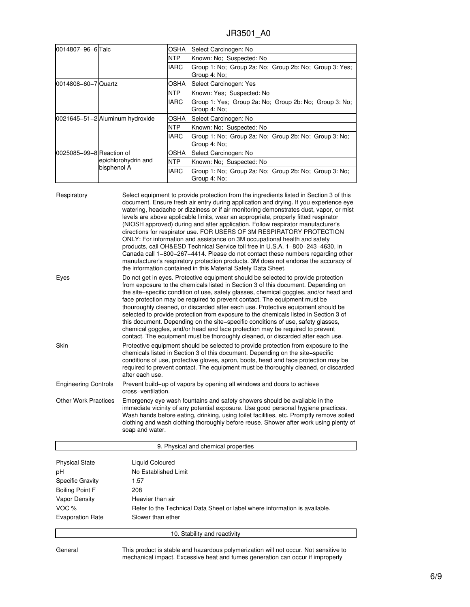| 0014807-96-6 Talc         |                                    | <b>OSHA</b> | Select Carcinogen: No                                                  |  |
|---------------------------|------------------------------------|-------------|------------------------------------------------------------------------|--|
|                           |                                    | <b>NTP</b>  | Known: No: Suspected: No                                               |  |
|                           |                                    | <b>IARC</b> | Group 1: No; Group 2a: No; Group 2b: No; Group 3: Yes;<br>Group 4: No: |  |
| 0014808-60-7 Quartz       |                                    | OSHA        | Select Carcinogen: Yes                                                 |  |
|                           |                                    | <b>NTP</b>  | Known: Yes: Suspected: No                                              |  |
|                           |                                    | IARC        | Group 1: Yes; Group 2a: No; Group 2b: No; Group 3: No;<br>Group 4: No: |  |
|                           | 0021645-51-2 Aluminum hydroxide    | <b>OSHA</b> | Select Carcinogen: No                                                  |  |
|                           |                                    | <b>NTP</b>  | Known: No: Suspected: No                                               |  |
|                           |                                    | <b>IARC</b> | Group 1: No; Group 2a: No; Group 2b: No; Group 3: No;<br>Group 4: No:  |  |
| l0025085-99-8 Reaction of | epichlorohydrin and<br>bisphenol A | OSHA        | Select Carcinogen: No                                                  |  |
|                           |                                    | <b>NTP</b>  | Known: No: Suspected: No                                               |  |
|                           |                                    | IARC        | Group 1: No; Group 2a: No; Group 2b: No; Group 3: No;<br>Group 4: No:  |  |

| Respiratory                 | Select equipment to provide protection from the ingredients listed in Section 3 of this<br>document. Ensure fresh air entry during application and drying. If you experience eye<br>watering, headache or dizziness or if air monitoring demonstrates dust, vapor, or mist<br>levels are above applicable limits, wear an appropriate, properly fitted respirator<br>(NIOSH approved) during and after application. Follow respirator manufacturer's<br>directions for respirator use. FOR USERS OF 3M RESPIRATORY PROTECTION<br>ONLY: For information and assistance on 3M occupational health and safety<br>products, call OH&ESD Technical Service toll free in U.S.A. 1-800-243-4630, in<br>Canada call 1-800-267-4414. Please do not contact these numbers regarding other<br>manufacturer's respiratory protection products. 3M does not endorse the accuracy of<br>the information contained in this Material Safety Data Sheet. |
|-----------------------------|-----------------------------------------------------------------------------------------------------------------------------------------------------------------------------------------------------------------------------------------------------------------------------------------------------------------------------------------------------------------------------------------------------------------------------------------------------------------------------------------------------------------------------------------------------------------------------------------------------------------------------------------------------------------------------------------------------------------------------------------------------------------------------------------------------------------------------------------------------------------------------------------------------------------------------------------|
| Eyes                        | Do not get in eyes. Protective equipment should be selected to provide protection<br>from exposure to the chemicals listed in Section 3 of this document. Depending on<br>the site–specific condition of use, safety glasses, chemical goggles, and/or head and<br>face protection may be required to prevent contact. The equipment must be<br>thouroughly cleaned, or discarded after each use. Protective equipment should be<br>selected to provide protection from exposure to the chemicals listed in Section 3 of<br>this document. Depending on the site–specific conditions of use, safety glasses,<br>chemical goggles, and/or head and face protection may be required to prevent<br>contact. The equipment must be thoroughly cleaned, or discarded after each use.                                                                                                                                                         |
| Skin                        | Protective equipment should be selected to provide protection from exposure to the<br>chemicals listed in Section 3 of this document. Depending on the site-specific<br>conditions of use, protective gloves, apron, boots, head and face protection may be<br>required to prevent contact. The equipment must be thoroughly cleaned, or discarded<br>after each use.                                                                                                                                                                                                                                                                                                                                                                                                                                                                                                                                                                   |
| <b>Engineering Controls</b> | Prevent build–up of vapors by opening all windows and doors to achieve<br>cross-ventilation.                                                                                                                                                                                                                                                                                                                                                                                                                                                                                                                                                                                                                                                                                                                                                                                                                                            |
| <b>Other Work Practices</b> | Emergency eye wash fountains and safety showers should be available in the<br>immediate vicinity of any potential exposure. Use good personal hygiene practices.<br>Wash hands before eating, drinking, using toilet facilities, etc. Promptly remove soiled<br>clothing and wash clothing thoroughly before reuse. Shower after work using plenty of<br>soap and water.                                                                                                                                                                                                                                                                                                                                                                                                                                                                                                                                                                |

| 9. Physical and chemical properties |                                                                            |  |  |  |
|-------------------------------------|----------------------------------------------------------------------------|--|--|--|
| <b>Physical State</b>               | Liquid Coloured                                                            |  |  |  |
| pH                                  | No Established Limit                                                       |  |  |  |
| <b>Specific Gravity</b>             | 1.57                                                                       |  |  |  |
| <b>Boiling Point F</b>              | 208                                                                        |  |  |  |
| Vapor Density                       | Heavier than air                                                           |  |  |  |
| VOC %                               | Refer to the Technical Data Sheet or label where information is available. |  |  |  |
| <b>Evaporation Rate</b>             | Slower than ether                                                          |  |  |  |
|                                     | 10. Stability and reactivity                                               |  |  |  |

General This product is stable and hazardous polymerization will not occur. Not sensitive to mechanical impact. Excessive heat and fumes generation can occur if improperly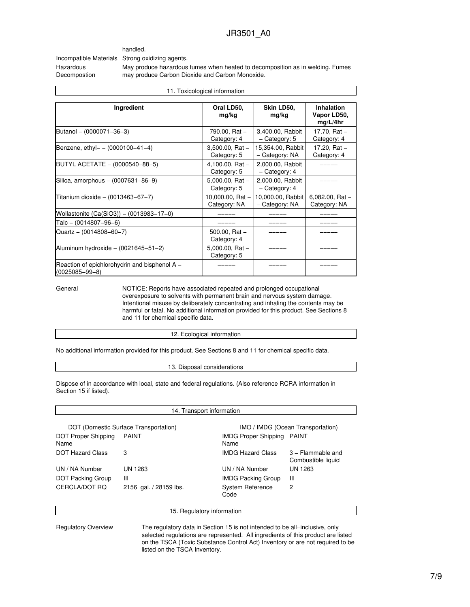### handled.

Incompatible Materials Strong oxidizing agents. Hazardous

Decompostion

May produce hazardous fumes when heated to decomposition as in welding. Fumes may produce Carbon Dioxide and Carbon Monoxide.

| 11. Toxicological information                                         |                                     |                                     |                                              |  |  |
|-----------------------------------------------------------------------|-------------------------------------|-------------------------------------|----------------------------------------------|--|--|
| Ingredient                                                            | Oral LD50,<br>mg/kg                 | Skin LD50,<br>mg/kg                 | <b>Inhalation</b><br>Vapor LD50,<br>mg/L/4hr |  |  |
| Butanol $- (0000071 - 36 - 3)$                                        | 790.00, Rat -<br>Category: 4        | 3,400.00, Rabbit<br>$-$ Category: 5 | 17.70, Rat $-$<br>Category: 4                |  |  |
| Benzene, $ethyl- - (0000100-41-4)$                                    | $3,500.00$ , Rat $-$<br>Category: 5 | 15,354.00, Rabbit<br>- Category: NA | 17.20, Rat $-$<br>Category: 4                |  |  |
| BUTYL ACETATE - (0000540-88-5)                                        | $4,100.00$ , Rat $-$<br>Category: 5 | 2,000.00, Rabbit<br>$-$ Category: 4 |                                              |  |  |
| Silica, amorphous - (0007631-86-9)                                    | $5,000.00$ , Rat $-$<br>Category: 5 | 2,000.00, Rabbit<br>$-$ Category: 4 |                                              |  |  |
| Titanium dioxide - (0013463-67-7)                                     | 10,000.00, Rat $-$<br>Category: NA  | 10,000.00, Rabbit<br>- Category: NA | 6,082.00, Rat $-$<br>Category: NA            |  |  |
| Wollastonite (Ca(SiO3)) - (0013983-17-0)                              |                                     |                                     |                                              |  |  |
| Talc - (0014807-96-6)                                                 |                                     |                                     |                                              |  |  |
| Quartz - $(0014808 - 60 - 7)$                                         | 500.00, Rat $-$<br>Category: 4      |                                     |                                              |  |  |
| Aluminum hydroxide - $(0021645-51-2)$                                 | $5,000.00$ , Rat $-$<br>Category: 5 |                                     |                                              |  |  |
| Reaction of epichlorohydrin and bisphenol A -<br>$(0025085 - 99 - 8)$ |                                     |                                     |                                              |  |  |

General NOTICE: Reports have associated repeated and prolonged occupational overexposure to solvents with permanent brain and nervous system damage. Intentional misuse by deliberately concentrating and inhaling the contents may be harmful or fatal. No additional information provided for this product. See Sections 8 and 11 for chemical specific data.

#### 12. Ecological information

No additional information provided for this product. See Sections 8 and 11 for chemical specific data.

### 13. Disposal considerations

Dispose of in accordance with local, state and federal regulations. (Also reference RCRA information in Section 15 if listed).

| 14. Transport information   |                                       |                                     |                                         |  |  |  |  |
|-----------------------------|---------------------------------------|-------------------------------------|-----------------------------------------|--|--|--|--|
|                             | DOT (Domestic Surface Transportation) |                                     | IMO / IMDG (Ocean Transportation)       |  |  |  |  |
| DOT Proper Shipping<br>Name | <b>PAINT</b>                          | <b>IMDG Proper Shipping</b><br>Name | <b>PAINT</b>                            |  |  |  |  |
| <b>DOT Hazard Class</b>     | 3                                     | <b>IMDG Hazard Class</b>            | 3 – Flammable and<br>Combustible liquid |  |  |  |  |
| UN / NA Number              | UN 1263                               | UN / NA Number                      | UN 1263                                 |  |  |  |  |
| DOT Packing Group           | Ш                                     | <b>IMDG Packing Group</b>           | Ш                                       |  |  |  |  |
| CERCLA/DOT RO               | 2156 gal. / 28159 lbs.                | System Reference<br>Code            | 2                                       |  |  |  |  |

#### 15. Regulatory information

Regulatory Overview The regulatory data in Section 15 is not intended to be all−inclusive, only selected regulations are represented. All ingredients of this product are listed on the TSCA (Toxic Substance Control Act) Inventory or are not required to be listed on the TSCA Inventory.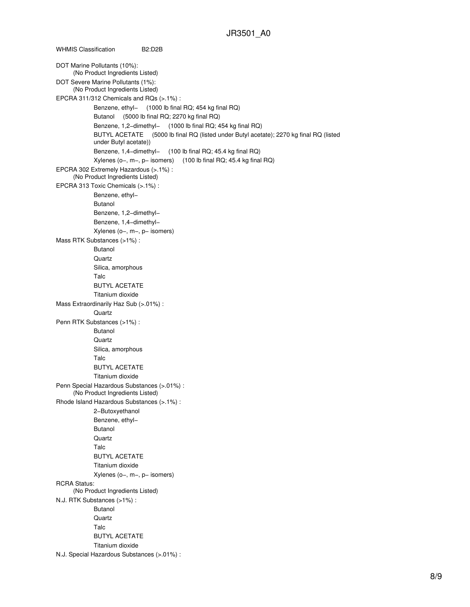WHMIS Classification B2:D2B DOT Marine Pollutants (10%): (No Product Ingredients Listed) DOT Severe Marine Pollutants (1%): (No Product Ingredients Listed) EPCRA 311/312 Chemicals and RQs (>.1%) : Benzene, ethyl− (1000 lb final RQ; 454 kg final RQ) Butanol (5000 lb final RQ; 2270 kg final RQ) Benzene, 1,2−dimethyl− (1000 lb final RQ; 454 kg final RQ) BUTYL ACETATE (5000 lb final RQ (listed under Butyl acetate); 2270 kg final RQ (listed under Butyl acetate)) Benzene, 1,4−dimethyl− (100 lb final RQ; 45.4 kg final RQ) Xylenes (o−, m−, p− isomers) (100 lb final RQ; 45.4 kg final RQ) EPCRA 302 Extremely Hazardous (>.1%) : (No Product Ingredients Listed) EPCRA 313 Toxic Chemicals (>.1%) : Benzene, ethyl− Butanol Benzene, 1,2−dimethyl− Benzene, 1,4−dimethyl− Xylenes (o−, m−, p− isomers) Mass RTK Substances (>1%) : Butanol **Quartz** Silica, amorphous Talc BUTYL ACETATE Titanium dioxide Mass Extraordinarily Haz Sub (>.01%) : Quartz Penn RTK Substances (>1%) : Butanol **Quartz** Silica, amorphous Talc BUTYL ACETATE Titanium dioxide Penn Special Hazardous Substances (>.01%) : (No Product Ingredients Listed) Rhode Island Hazardous Substances (>.1%) : 2−Butoxyethanol Benzene, ethyl− Butanol **Quartz** Talc BUTYL ACETATE Titanium dioxide Xylenes (o−, m−, p− isomers) RCRA Status: (No Product Ingredients Listed) N.J. RTK Substances (>1%) : Butanol Quartz **Talc** BUTYL ACETATE Titanium dioxide N.J. Special Hazardous Substances (>.01%) :